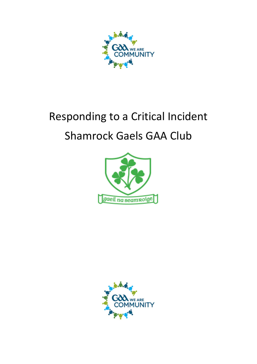

# Responding to a Critical Incident Shamrock Gaels GAA Club



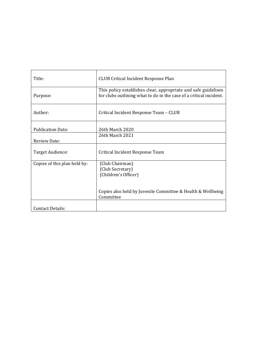| Title:                       | <b>CLUB Critical Incident Response Plan</b>                                                                                          |
|------------------------------|--------------------------------------------------------------------------------------------------------------------------------------|
| Purpose:                     | This policy establishes clear, appropriate and safe guidelines<br>for clubs outlining what to do in the case of a critical incident. |
| Author:                      | Critical Incident Response Team - CLUB                                                                                               |
| <b>Publication Date:</b>     | 26th March 2020                                                                                                                      |
| <b>Review Date:</b>          | 26th March 2021                                                                                                                      |
| Target Audience:             | Critical Incident Response Team                                                                                                      |
| Copies of this plan held by: | (Club Chairman)<br>(Club Secretary)<br>(Children's Officer)<br>Copies also held by Juvenile Committee & Health & Wellbeing           |
|                              | Committee                                                                                                                            |
| Contact Details:             |                                                                                                                                      |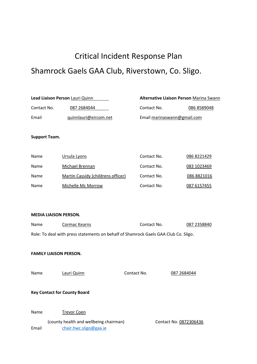## Critical Incident Response Plan Shamrock Gaels GAA Club, Riverstown, Co. Sligo.

| Lead Liaison Person Lauri Quinn |                       | <b>Alternative Liaison Person Marina Swann</b> |                             |  |
|---------------------------------|-----------------------|------------------------------------------------|-----------------------------|--|
| Contact No.                     | 087 2684044           | Contact No.                                    | 086 8589048                 |  |
| Email                           | quinnlauri@eircom.net |                                                | Email marinaswann@gmail.com |  |

#### **Support Team.**

| Name | Ursula Lyons                       | Contact No. | 086 8221429 |
|------|------------------------------------|-------------|-------------|
| Name | Michael Brennan                    | Contact No. | 083 1023469 |
| Name | Martin Cassidy (childrens officer) | Contact No. | 086 8821016 |
| Name | Michelle Mc Morrow                 | Contact No. | 087 6157455 |

#### **MEDIA LIAISON PERSON.**

| Name                                                                                | Cormac Kearns      | Contact No. | 087 2358840 |
|-------------------------------------------------------------------------------------|--------------------|-------------|-------------|
| Role: To deal with press statements on behalf of Shamrock Gaels GAA Club Co. Sligo. |                    |             |             |
| <b>FAMILY LIAISON PERSON.</b>                                                       |                    |             |             |
| Name                                                                                | Lauri Quinn        | Contact No. | 087 2684044 |
| <b>Key Contact for County Board</b>                                                 |                    |             |             |
| Name                                                                                | <b>Trevor Coen</b> |             |             |

(county health and wellbeing chairman) Contact No. 0872306436 Email [chair.hwc.sligo@gaa.ie](mailto:chair.hwc.sligo@gaa.ie)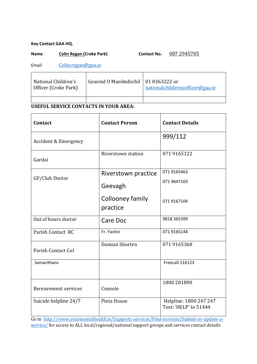#### **Key Contact GAA HQ.**

## Name Colin Regan (Croke Park) Contact No. 087 2945705

Email [Colin.regan@gaa.ie](mailto:Colin.regan@gaa.ie)

| National Children's<br>Officer (Croke Park) | Gearoid O Maoilmhichil   01 8363222 or | nationalchildrensofficer@gaa.ie |
|---------------------------------------------|----------------------------------------|---------------------------------|
|                                             |                                        |                                 |

## **USEFUL SERVICE CONTACTS IN YOUR AREA:**

| Contact                         | <b>Contact Person</b>        | <b>Contact Details</b>                          |
|---------------------------------|------------------------------|-------------------------------------------------|
| <b>Accident &amp; Emergency</b> |                              | 999/112                                         |
| Gardai                          | Riverstown station           | 071 9165122                                     |
|                                 | Riverstown practice          | 071 9165463                                     |
| GP/Club Doctor                  | Geevagh                      | 071 9647103                                     |
|                                 | Collooney family<br>practice | 071 9167104                                     |
| Out of hours doctor             | Care Doc                     | 0818 365399                                     |
| Parish Contact RC               | Fr. Yashin                   | 071 9165144                                     |
| Parish Contact CoI              | Damian Shorten               | 0719165368                                      |
| Samarithans                     |                              | Freecall 116123                                 |
| Bereavement services            | Console                      | 1800 201890                                     |
| Suicide helpline 24/7           | Pieta House                  | Helpline: 1800 247 247<br>Text: 'HELP' to 51444 |

Go to [http://www.yourmentalhealth.ie/Supports-services/Find-services/Submit-or-update-a](http://www.yourmentalhealth.ie/Supports-services/Find-services/Submit-or-update-a-service/)[service/](http://www.yourmentalhealth.ie/Supports-services/Find-services/Submit-or-update-a-service/) for access to ALL local/regional/national support groups and services contact details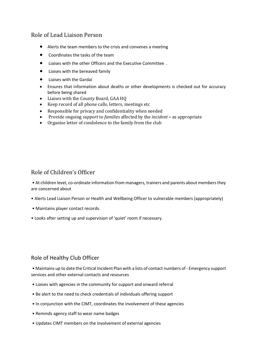## Role of Lead Liaison Person

- Alerts the team members to the crisis and convenes a meeting
- Coordinates the tasks of the team
- Liaises with the other Officers and the Executive Committee .
- Liaises with the bereaved family
- Liaises with the Gardaí
- Ensures that information about deaths or other developments is checked out for accuracy before being shared
- Liaises with the County Board, GAA HQ
- Keep record of all phone calls, letters, meetings etc
- Responsible for privacy and confidentiality when needed
- Provide ongoing *support* to *families* affected by the *incident* **–** as appropriate
- Organise letter of condolence to the family from the club

## Role of Children's Officer

• At children level, co-ordinate information from managers, trainers and parents about members they are concerned about

- Alerts Lead Liaison Person or Health and Wellbeing Officer to vulnerable members (appropriately)
- Maintains player contact records.
- Looks after setting up and supervision of 'quiet' room if necessary.

## Role of Healthy Club Officer

• Maintains up to date the Critical Incident Plan with a lists of contact numbers of - Emergency support services and other external contacts and resources

- Liaises with agencies in the community for support and onward referral
- Be alert to the need to check credentials of individuals offering support
- In conjunction with the CIMT, coordinates the involvement of these agencies
- Reminds agency staff to wear name badges
- Updates CIMT members on the involvement of external agencies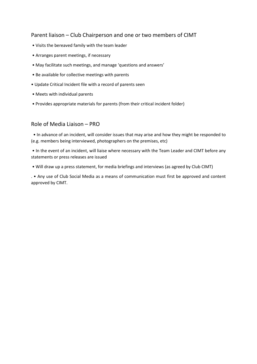## Parent liaison – Club Chairperson and one or two members of CIMT

- Visits the bereaved family with the team leader
- Arranges parent meetings, if necessary
- May facilitate such meetings, and manage 'questions and answers'
- Be available for collective meetings with parents
- Update Critical Incident file with a record of parents seen
- Meets with individual parents
- Provides appropriate materials for parents (from their critical incident folder)

## Role of Media Liaison – PRO

• In advance of an incident, will consider issues that may arise and how they might be responded to (e.g. members being interviewed, photographers on the premises, etc)

• In the event of an incident, will liaise where necessary with the Team Leader and CIMT before any statements or press releases are issued

• Will draw up a press statement, for media briefings and interviews (as agreed by Club CIMT)

. • Any use of Club Social Media as a means of communication must first be approved and content approved by CIMT.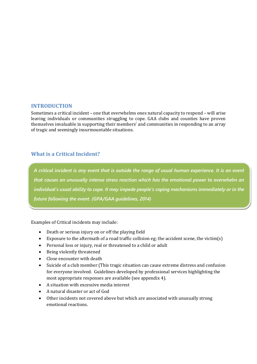## **INTRODUCTION**

Sometimes a critical incident – one that overwhelms ones natural capacity to respond – will arise leaving individuals or communities struggling to cope. GAA clubs and counties have proven themselves invaluable in supporting their members' and communities in responding to an array of tragic and seemingly insurmountable situations.

## **What is a Critical Incident?**

*A critical incident is any event that is outside the range of usual human experience. It is an event that causes an unusually intense stress reaction which has the emotional power to overwhelm an individual's usual ability to cope. It may impede people's coping mechanisms immediately or in the future following the event. (GPA/GAA guidelines, 2014)*

Examples of Critical incidents may include:

- Death or serious injury on or off the playing field
- Exposure to the aftermath of a road traffic collision eg; the accident scene, the victim(s)
- Personal loss or injury, real or threatened to a child or adult
- Being violently threatened
- Close encounter with death
- Suicide of a club member (This tragic situation can cause extreme distress and confusion for everyone involved. Guidelines developed by professional services highlighting the most appropriate responses are available (see appendix 4).
- A situation with excessive media interest
- A natural disaster or act of God
- Other incidents not covered above but which are associated with unusually strong emotional reactions.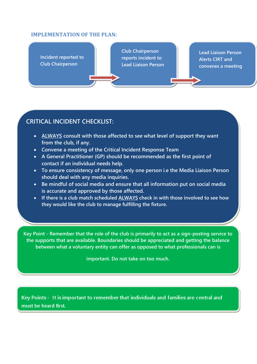### **IMPLEMENTATION OF THE PLAN:**

**Incident reported to Club Chairperson** 

**Club Chairperson reports incident to Lead Liaison Person** 

**Lead Liaison Person Alerts CIRT and convenes a meeting**

## **CRITICAL INCIDENT CHECKLIST:**

- **ALWAYS consult with those affected to see what level of support they want from the club, if any.**
- **Convene a meeting of the Critical Incident Response Team**
- **A General Practitioner (GP) should be recommended as the first point of contact if an individual needs help.**
- **To ensure consistency of message, only one person i.e the Media Liaison Person should deal with any media inquiries.**
- **Be mindful of social media and ensure that all information put on social media is accurate and approved by those affected.**
- **If there is a club match scheduled ALWAYS check in with those involved to see how they would like the club to manage fulfilling the fixture.**

**Key Point - Remember that the role of the club is primarily to act as a sign-posting service to the supports that are available. Boundaries should be appreciated and getting the balance between what a voluntary entity can offer as opposed to what professionals can is**

**important. Do not take on too much.**

Key Points - It is important to remember that individuals and families are central and **MEDIA RELATIONS**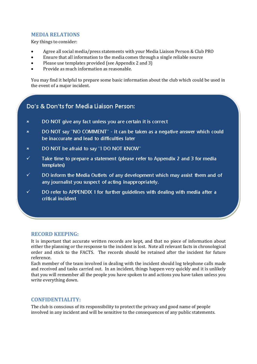## **MEDIA RELATIONS**

Key things to consider:

- Agree all social media/press statements with your Media Liaison Person & Club PRO
- Ensure that all information to the media comes through a single reliable source
- Please use templates provided (see Appendix 2 and 3)
- Provide as much information as reasonable.

You may find it helpful to prepare some basic information about the club which could be used in the event of a major incident.

## Do's & Don'ts for Media Liaison Person:

- $\star$ DO NOT give any fact unless you are certain it is correct
- $\mathbf{x}$ DO NOT say "NO COMMENT" - it can be taken as a negative answer which could be inaccurate and lead to difficulties later
- DO NOT be afraid to say "I DO NOT KNOW"  $\star$
- ✓ Take time to prepare a statement (please refer to Appendix 2 and 3 for media templates)
- ✓ DO inform the Media Outlets of any development which may assist them and of any journalist you suspect of acting inappropriately.
- ✓ DO refer to APPENDIX 1 for further guidelines with dealing with media after a critical incident

## **RECORD KEEPING:**

It is important that accurate written records are kept, and that no piece of information about either the planning or the response to the incident is lost. Note all relevant facts in chronological order and stick to the FACTS. The records should be retained after the incident for future reference.

Each member of the team involved in dealing with the incident should log telephone calls made and received and tasks carried out. In an incident, things happen very quickly and it is unlikely that you will remember all the people you have spoken to and actions you have taken unless you write everything down.

## **CONFIDENTIALITY:**

The club is conscious of its responsibility to protect the privacy and good name of people involved in any incident and will be sensitive to the consequences of any public statements.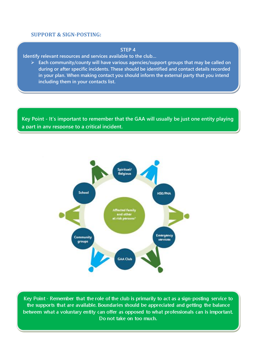### **SUPPORT & SIGN-POSTING:**

#### **STEP 4**

**Identify relevant resources and services available to the club…**

➢ **Each community/county will have various agencies/support groups that may be called on during or after specific incidents. These should be identified and contact details recorded in your plan. When making contact you should inform the external party that you intend including them in your contacts list.**

**Key Point - It's important to remember that the GAA will usually be just one entity playing a part in any response to a critical incident.**



Key Point - Remember that the role of the club is primarily to act as a sign-posting service to the supports that are available. Boundaries should be appreciated and getting the balance between what a voluntary entity can offer as opposed to what professionals can is important. Do not take on too much.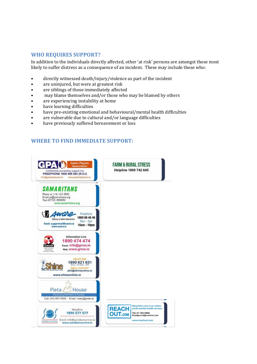## **WHO REQUIRES SUPPORT?**

In addition to the individuals directly affected, other 'at risk' persons are amongst those most likely to suffer distress as a consequence of an incident. These may include those who:

- directly witnessed death/injury/violence as part of the incident
- are uninjured, but were at greatest risk
- are siblings of those immediately affected
- may blame themselves and/or those who may be blamed by others
- are experiencing instability at home
- have learning difficulties
- have pre-existing emotional and behavioural/mental health difficulties
- are vulnerable due to cultural and/or language difficulties
- have previously suffered bereavement or loss

## **WHERE TO FIND IMMEDIATE SUPPORT:**

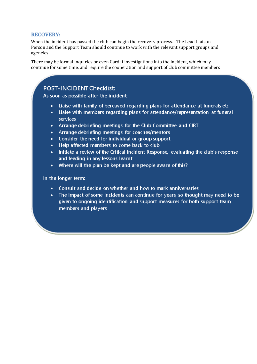### **RECOVERY:**

When the incident has passed the club can begin the recovery process. The Lead Liaison Person and the Support Team should continue to work with the relevant support groups and agencies.

There may be formal inquiries or even Gardaí investigations into the incident, which may continue for some time, and require the cooperation and support of club committee members

## **POST-INCIDENT Checklist:**

As soon as possible after the incident:

- Liaise with family of bereaved regarding plans for attendance at funerals etc
- Liaise with members regarding plans for attendance/representation at funeral services
- Arrange debriefing meetings for the Club Committee and CIRT
- Arrange debriefing meetings for coaches/mentors
- Consider the need for individual or group support
- Help affected members to come back to club
- Initiate a review of the Critical Incident Response, evaluating the club's response and feeding in any lessons learnt
- Where will the plan be kept and are people aware of this?

#### In the longer term:

- Consult and decide on whether and how to mark anniversaries
- The impact of some incidents can continue for years, so thought may need to be given to ongoing identification and support measures for both support team. members and players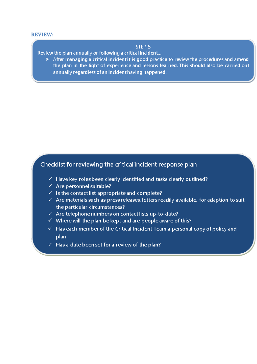#### **REVIEW:**

### STEP<sub>5</sub>

Review the plan annually or following a critical incident...

 $\triangleright$  After managing a critical incident it is good practice to review the procedures and amend the plan in the light of experience and lessons learned. This should also be carried out annually regardless of an incident having happened.

## Checklist for reviewing the critical incident response plan

- $\checkmark$  Have key roles been clearly identified and tasks clearly outlined?
- $\checkmark$  Are personnel suitable?
- $\checkmark$  Is the contact list appropriate and complete?
- $\checkmark$  Are materials such as press releases, letters readily available, for adaption to suit the particular circumstances?
- $\checkmark$  Are telephone numbers on contact lists up-to-date?
- $\checkmark$  Where will the plan be kept and are people aware of this?
- $\checkmark$  Has each member of the Critical Incident Team a personal copy of policy and plan
- $\checkmark$  Has a date been set for a review of the plan?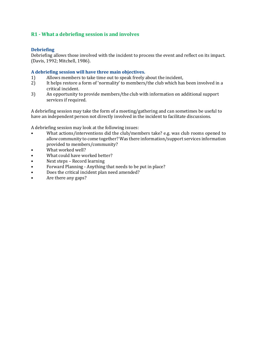## **R1 - What a debriefing session is and involves**

### **Debriefing**

Debriefing allows those involved with the incident to process the event and reflect on its impact. (Davis, 1992; Mitchell, 1986).

#### **A debriefing session will have three main objectives.**

- 1) Allows members to take time out to speak freely about the incident,
- 2) It helps restore a form of 'normality' to members/the club which has been involved in a critical incident.
- 3) An opportunity to provide members/the club with information on additional support services if required.

A debriefing session may take the form of a meeting/gathering and can sometimes be useful to have an independent person not directly involved in the incident to facilitate discussions.

A debriefing session may look at the following issues:

- What actions/interventions did the club/members take? e.g. was club rooms opened to allow community to come together? Was there information/support services information provided to members/community?
- What worked well?
- What could have worked better?
- Next steps Record learning
- Forward Planning Anything that needs to be put in place?
- Does the critical incident plan need amended?
- Are there any gaps?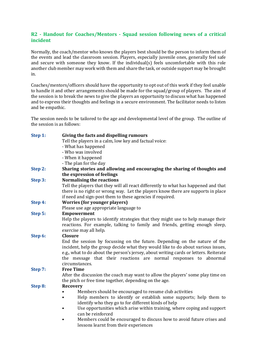## **R2 - Handout for Coaches/Mentors - Squad session following news of a critical incident**

Normally, the coach/mentor who knows the players best should be the person to inform them of the events and lead the classroom session. Players, especially juvenile ones, generally feel safe and secure with someone they know. If the individual(s) feels uncomfortable with this role another club member may work with them and share the task, or outside support may be brought in.

Coaches/mentors/officers should have the opportunity to opt out of this work if they feel unable to handle it and other arrangements should be made for the squad/group of players. The aim of the session is to break the news to give the players an opportunity to discuss what has happened and to express their thoughts and feelings in a secure environment. The facilitator needs to listen and be empathic.

The session needs to be tailored to the age and developmental level of the group. The outline of the session is as follows:

| Step 1: | Giving the facts and dispelling rumours<br>Tell the players in a calm, low key and factual voice:<br>- What has happened                                                                                                                                |
|---------|---------------------------------------------------------------------------------------------------------------------------------------------------------------------------------------------------------------------------------------------------------|
|         | - Who was involved                                                                                                                                                                                                                                      |
|         | - When it happened                                                                                                                                                                                                                                      |
|         | - The plan for the day                                                                                                                                                                                                                                  |
| Step 2: | Sharing stories and allowing and encouraging the sharing of thoughts and                                                                                                                                                                                |
|         | the expression of feelings                                                                                                                                                                                                                              |
| Step 3: | Normalising the reactions                                                                                                                                                                                                                               |
|         | Tell the players that they will all react differently to what has happened and that                                                                                                                                                                     |
|         | there is no right or wrong way. Let the players know there are supports in place                                                                                                                                                                        |
|         | if need and sign-post them to these agencies if required.                                                                                                                                                                                               |
| Step 4: | <b>Worries (for younger players)</b>                                                                                                                                                                                                                    |
|         | Please use age appropriate language to                                                                                                                                                                                                                  |
| Step 5: | <b>Empowerment</b>                                                                                                                                                                                                                                      |
|         | Help the players to identify strategies that they might use to help manage their                                                                                                                                                                        |
|         | reactions. For example, talking to family and friends, getting enough sleep,                                                                                                                                                                            |
|         | exercise may all help.                                                                                                                                                                                                                                  |
| Step 6: | <b>Closure</b>                                                                                                                                                                                                                                          |
|         | End the session by focussing on the future. Depending on the nature of the<br>incident, help the group decide what they would like to do about various issues,<br>e.g., what to do about the person's jersey, about writing cards or letters. Reiterate |
|         | the message that their reactions are normal responses to<br>abnormal                                                                                                                                                                                    |
|         | circumstances.                                                                                                                                                                                                                                          |
| Step 7: | <b>Free Time</b>                                                                                                                                                                                                                                        |
|         | After the discussion the coach may want to allow the players' some play time on                                                                                                                                                                         |
|         | the pitch or free time together, depending on the age.                                                                                                                                                                                                  |
| Step 8: | <b>Recovery</b>                                                                                                                                                                                                                                         |
|         | Members should be encouraged to resume club activities                                                                                                                                                                                                  |
|         | Help members to identify or establish some supports; help them to                                                                                                                                                                                       |
|         | identify who they go to for different kinds of help                                                                                                                                                                                                     |
|         | Use opportunities which arise within training, where coping and support<br>can be reinforced                                                                                                                                                            |
|         | Members could be encouraged to discuss how to avoid future crises and                                                                                                                                                                                   |
|         | lessons learnt from their experiences                                                                                                                                                                                                                   |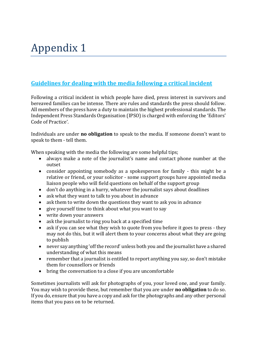## **Guidelines for dealing with the media following a critical incident**

Following a critical incident in which people have died, press interest in survivors and bereaved families can be intense. There are rules and standards the press should follow. All members of the press have a duty to maintain the highest professional standards. The Independent Press Standards Organisation (IPSO) is charged with enforcing the 'Editors' Code of Practice'.

Individuals are under **no obligation** to speak to the media. If someone doesn't want to speak to them - tell them.

When speaking with the media the following are some helpful tips;

- always make a note of the journalist's name and contact phone number at the outset
- consider appointing somebody as a spokesperson for family this might be a relative or friend, or your solicitor - some support groups have appointed media liaison people who will field questions on behalf of the support group
- don't do anything in a hurry, whatever the journalist says about deadlines
- ask what they want to talk to you about in advance
- ask them to write down the questions they want to ask you in advance
- give yourself time to think about what you want to say
- write down your answers
- ask the journalist to ring you back at a specified time
- ask if you can see what they wish to quote from you before it goes to press they may not do this, but it will alert them to your concerns about what they are going to publish
- never say anything 'off the record' unless both you and the journalist have a shared understanding of what this means
- remember that a journalist is entitled to report anything you say, so don't mistake them for counsellors or friends
- bring the conversation to a close if you are uncomfortable

Sometimes journalists will ask for photographs of you, your loved one, and your family. You may wish to provide these, but remember that you are under **no obligation** to do so. If you do, ensure that you have a copy and ask for the photographs and any other personal items that you pass on to be returned.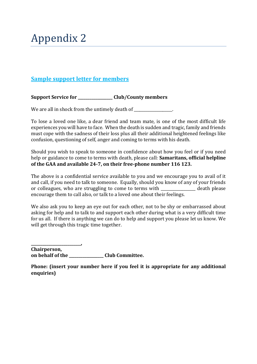## **Sample support letter for members**

**Support Service for \_\_\_\_\_\_\_\_\_\_\_\_\_\_\_\_\_\_ Club/County members**

We are all in shock from the untimely death of \_\_\_\_\_\_\_\_\_\_\_\_\_\_\_\_.

To lose a loved one like, a dear friend and team mate, is one of the most difficult life experiences you will have to face. When the death is sudden and tragic, family and friends must cope with the sadness of their loss plus all their additional heightened feelings like confusion, questioning of self, anger and coming to terms with his death.

Should you wish to speak to someone in confidence about how you feel or if you need help or guidance to come to terms with death, please call: **Samaritans, official helpline of the GAA and available 24-7, on their free-phone number 116 123.**

The above is a confidential service available to you and we encourage you to avail of it and call, if you need to talk to someone. Equally, should you know of any of your friends or colleagues, who are struggling to come to terms with death please encourage them to call also, or talk to a loved one about their feelings.

We also ask you to keep an eye out for each other, not to be shy or embarrassed about asking for help and to talk to and support each other during what is a very difficult time for us all. If there is anything we can do to help and support you please let us know. We will get through this tragic time together.

**Chairperson, on behalf of the \_\_\_\_\_\_\_\_\_\_\_\_\_\_\_\_\_\_ Club Committee.**

**\_\_\_\_\_\_\_\_\_\_\_\_\_\_\_\_\_\_\_\_\_\_\_\_\_\_,** 

**Phone: (insert your number here if you feel it is appropriate for any additional enquiries)**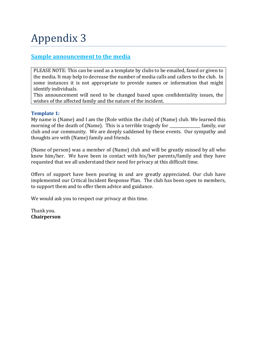## **Sample announcement to the media**

PLEASE NOTE: This can be used as a template by clubs to be emailed, faxed or given to the media. It may help to decrease the number of media calls and callers to the club. In some instances it is not appropriate to provide names or information that might identify individuals.

This announcement will need to be changed based upon confidentiality issues, the wishes of the affected family and the nature of the incident.

## **Template 1:**

My name is (Name) and I am the (Role within the club) of (Name) club. We learned this morning of the death of (Name). This is a terrible tragedy for \_\_\_\_\_\_\_\_\_\_\_\_\_\_ family, our club and our community. We are deeply saddened by these events. Our sympathy and thoughts are with (Name) family and friends.

(Name of person) was a member of (Name) club and will be greatly missed by all who knew him/her. We have been in contact with his/her parents/family and they have requested that we all understand their need for privacy at this difficult time.

Offers of support have been pouring in and are greatly appreciated. Our club have implemented our Critical Incident Response Plan. The club has been open to members, to support them and to offer them advice and guidance.

We would ask you to respect our privacy at this time.

Thank you. **Chairperson**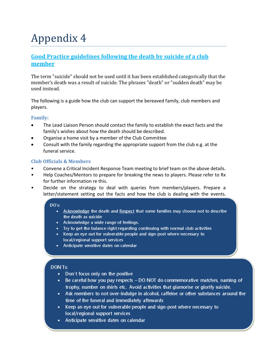## **Good Practice guidelines following the death by suicide of a club member**

The term "suicide" should not be used until it has been established categorically that the member's death was a result of suicide. The phrases "death" or "sudden death" may be used instead.

The following is a guide how the club can support the bereaved family, club members and players.

## **Family:**

- The Lead Liaison Person should contact the family to establish the exact facts and the family's wishes about how the death should be described.
- Organise a home visit by a member of the Club Committee
- Consult with the family regarding the appropriate support from the club e.g. at the funeral service.

## **Club Officials & Members**

- Convene a Critical Incident Response Team meeting to brief team on the above details.
- Help Coaches/Mentors to prepare for breaking the news to players. Please refer to Rx for further information re this.
- Decide on the strategy to deal with queries from members/players. Prepare a letter/statement setting out the facts and how the club is dealing with the events.

### $DO's:$

- Acknowledge the death and Respect that some families may choose not to describe the death as suicide
- Acknowledge a wide range of feelings.
- Try to get the balance right regarding continuing with normal club activities
- Keep an eye out for vulnerable people and sign-post where necessary to local/regional support services
- Anticipate sensitive dates on calendar

## DON'Ts:

- Don't focus only on the positive
- Be careful how you pay respects DO NOT do commemorative matches, naming of trophy, number on shirts etc. Avoid activities that glamorise or glorify suicide.
- Ask members to not over-indulge in alcohol, caffeine or other substances around the time of the funeral and immediately aftewards
- Keep an eye out for vulnerable people and sign-post where necessary to local/regional support services
- Anticipate sensitive dates on calendar